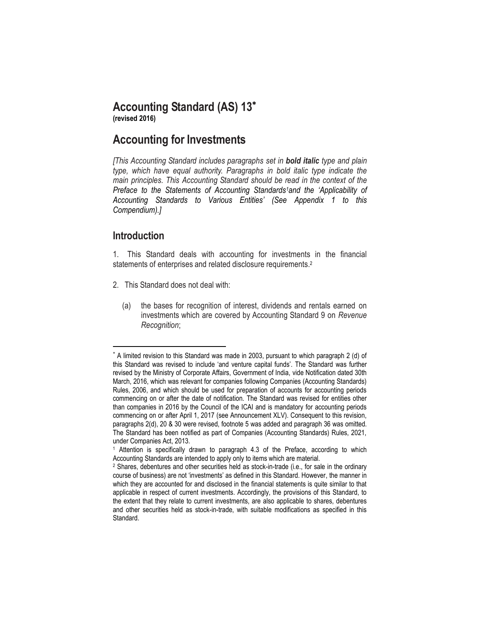# **Accounting Standard (AS) 13**

**(revised 2016)**

# **Accounting for Investments**

*[This Accounting Standard includes paragraphs set in bold italic type and plain type, which have equal authority. Paragraphs in bold italic type indicate the main principles. This Accounting Standard should be read in the context of the Preface to the Statements of Accounting Standards1and the 'Applicability of Accounting Standards to Various Entities' (See Appendix 1 to this Compendium).]*

# **Introduction**

1. This Standard deals with accounting for investments in the financial statements of enterprises and related disclosure requirements.<sup>2</sup>

- 2. This Standard does not deal with:
	- (a) the bases for recognition of interest, dividends and rentals earned on investments which are covered by Accounting Standard 9 on *Revenue Recognition*;

 $\overline{a}$ \* A limited revision to this Standard was made in 2003, pursuant to which paragraph 2 (d) of this Standard was revised to include 'and venture capital funds'. The Standard was further revised by the Ministry of Corporate Affairs, Government of India, vide Notification dated 30th March, 2016, which was relevant for companies following Companies (Accounting Standards) Rules, 2006, and which should be used for preparation of accounts for accounting periods commencing on or after the date of notification. The Standard was revised for entities other than companies in 2016 by the Council of the ICAI and is mandatory for accounting periods commencing on or after April 1, 2017 (see Announcement XLV). Consequent to this revision, paragraphs 2(d), 20 & 30 were revised, footnote 5 was added and paragraph 36 was omitted. The Standard has been notified as part of Companies (Accounting Standards) Rules, 2021, under Companies Act, 2013.

<sup>1</sup> Attention is specifically drawn to paragraph 4.3 of the Preface, according to which Accounting Standards are intended to apply only to items which are material.

<sup>2</sup> Shares, debentures and other securities held as stock-in-trade (i.e., for sale in the ordinary course of business) are not 'investments' as defined in this Standard. However, the manner in which they are accounted for and disclosed in the financial statements is quite similar to that applicable in respect of current investments. Accordingly, the provisions of this Standard, to the extent that they relate to current investments, are also applicable to shares, debentures and other securities held as stock-in-trade, with suitable modifications as specified in this Standard.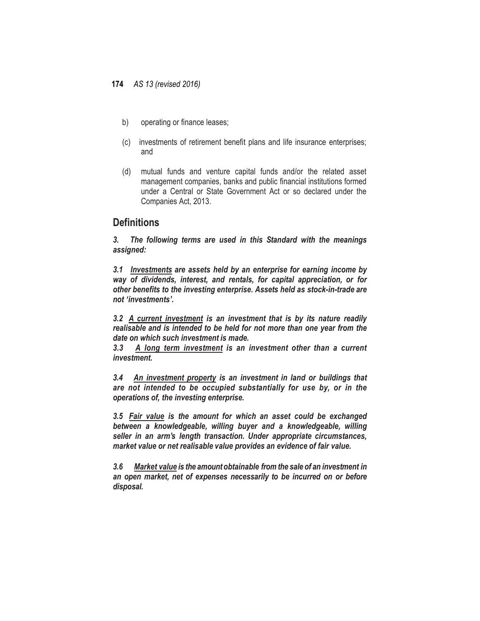- b) operating or finance leases;
- (c) investments of retirement benefit plans and life insurance enterprises; and
- (d) mutual funds and venture capital funds and/or the related asset management companies, banks and public financial institutions formed under a Central or State Government Act or so declared under the Companies Act, 2013.

# **Definitions**

*3. The following terms are used in this Standard with the meanings assigned:*

*3.1 Investments are assets held by an enterprise for earning income by way of dividends, interest, and rentals, for capital appreciation, or for other benefits to the investing enterprise. Assets held as stock-in-trade are not 'investments'.*

*3.2 A current investment is an investment that is by its nature readily realisable and is intended to be held for not more than one year from the date on which such investment is made.*

*3.3 A long term investment is an investment other than a current investment.*

*3.4 An investment property is an investment in land or buildings that are not intended to be occupied substantially for use by, or in the operations of, the investing enterprise.*

*3.5 Fair value is the amount for which an asset could be exchanged between a knowledgeable, willing buyer and a knowledgeable, willing seller in an arm's length transaction. Under appropriate circumstances, market value or net realisable value provides an evidence of fair value.*

*3.6 Market value is the amount obtainable from the sale of an investment in an open market, net of expenses necessarily to be incurred on or before disposal.*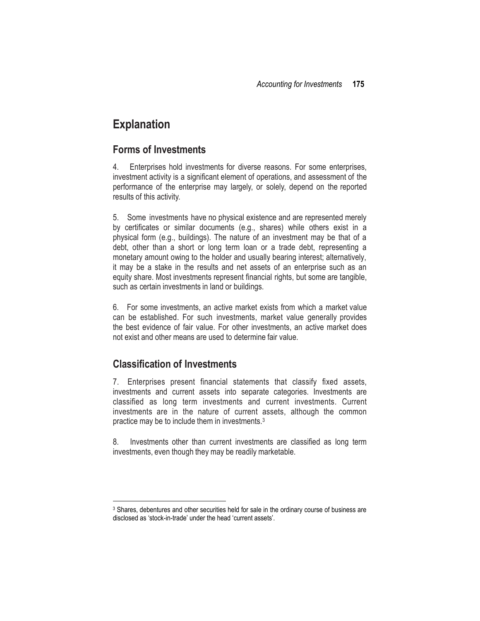# **Explanation**

#### **Forms of Investments**

4. Enterprises hold investments for diverse reasons. For some enterprises, investment activity is a significant element of operations, and assessment of the performance of the enterprise may largely, or solely, depend on the reported results of this activity.

5. Some investments have no physical existence and are represented merely by certificates or similar documents (e.g., shares) while others exist in a physical form (e.g., buildings). The nature of an investment may be that of a debt, other than a short or long term loan or a trade debt, representing a monetary amount owing to the holder and usually bearing interest; alternatively, it may be a stake in the results and net assets of an enterprise such as an equity share. Most investments represent financial rights, but some are tangible, such as certain investments in land or buildings.

6. For some investments, an active market exists from which a market value can be established. For such investments, market value generally provides the best evidence of fair value. For other investments, an active market does not exist and other means are used to determine fair value.

# **Classification of Investments**

 $\overline{\phantom{a}}$ 

7. Enterprises present financial statements that classify fixed assets, investments and current assets into separate categories. Investments are classified as long term investments and current investments. Current investments are in the nature of current assets, although the common practice may be to include them in investments.<sup>3</sup>

8. Investments other than current investments are classified as long term investments, even though they may be readily marketable.

<sup>&</sup>lt;sup>3</sup> Shares, debentures and other securities held for sale in the ordinary course of business are disclosed as 'stock-in-trade' under the head 'current assets'.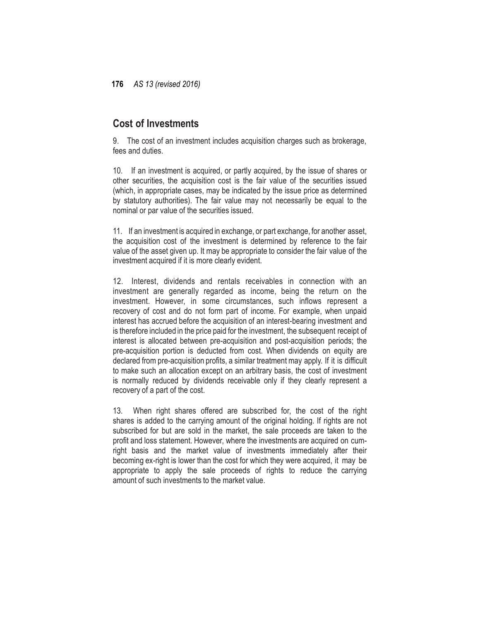# **Cost of Investments**

9. The cost of an investment includes acquisition charges such as brokerage, fees and duties.

10. If an investment is acquired, or partly acquired, by the issue of shares or other securities, the acquisition cost is the fair value of the securities issued (which, in appropriate cases, may be indicated by the issue price as determined by statutory authorities). The fair value may not necessarily be equal to the nominal or par value of the securities issued.

11. If an investment is acquired in exchange, or part exchange, for another asset, the acquisition cost of the investment is determined by reference to the fair value of the asset given up. It may be appropriate to consider the fair value of the investment acquired if it is more clearly evident.

12. Interest, dividends and rentals receivables in connection with an investment are generally regarded as income, being the return on the investment. However, in some circumstances, such inflows represent a recovery of cost and do not form part of income. For example, when unpaid interest has accrued before the acquisition of an interest-bearing investment and is therefore included in the price paid for the investment, the subsequent receipt of interest is allocated between pre-acquisition and post-acquisition periods; the pre-acquisition portion is deducted from cost. When dividends on equity are declared from pre-acquisition profits, a similar treatment may apply. If it is difficult to make such an allocation except on an arbitrary basis, the cost of investment is normally reduced by dividends receivable only if they clearly represent a recovery of a part of the cost.

13. When right shares offered are subscribed for, the cost of the right shares is added to the carrying amount of the original holding. If rights are not subscribed for but are sold in the market, the sale proceeds are taken to the profit and loss statement. However, where the investments are acquired on cumright basis and the market value of investments immediately after their becoming ex-right is lower than the cost for which they were acquired, it may be appropriate to apply the sale proceeds of rights to reduce the carrying amount of such investments to the market value.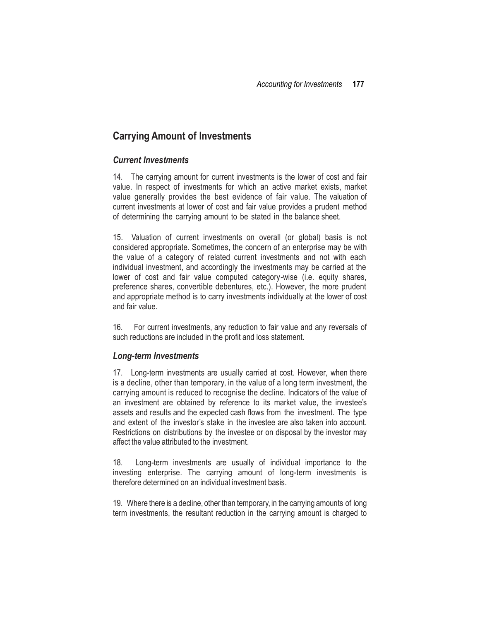# **Carrying Amount of Investments**

#### *Current Investments*

14. The carrying amount for current investments is the lower of cost and fair value. In respect of investments for which an active market exists, market value generally provides the best evidence of fair value. The valuation of current investments at lower of cost and fair value provides a prudent method of determining the carrying amount to be stated in the balance sheet.

15. Valuation of current investments on overall (or global) basis is not considered appropriate. Sometimes, the concern of an enterprise may be with the value of a category of related current investments and not with each individual investment, and accordingly the investments may be carried at the lower of cost and fair value computed category-wise (i.e. equity shares, preference shares, convertible debentures, etc.). However, the more prudent and appropriate method is to carry investments individually at the lower of cost and fair value.

16. For current investments, any reduction to fair value and any reversals of such reductions are included in the profit and loss statement.

#### *Long-term Investments*

17. Long-term investments are usually carried at cost. However, when there is a decline, other than temporary, in the value of a long term investment, the carrying amount is reduced to recognise the decline. Indicators of the value of an investment are obtained by reference to its market value, the investee's assets and results and the expected cash flows from the investment. The type and extent of the investor's stake in the investee are also taken into account. Restrictions on distributions by the investee or on disposal by the investor may affect the value attributed to the investment.

18. Long-term investments are usually of individual importance to the investing enterprise. The carrying amount of long-term investments is therefore determined on an individual investment basis.

19. Where there is a decline, other than temporary, in the carrying amounts of long term investments, the resultant reduction in the carrying amount is charged to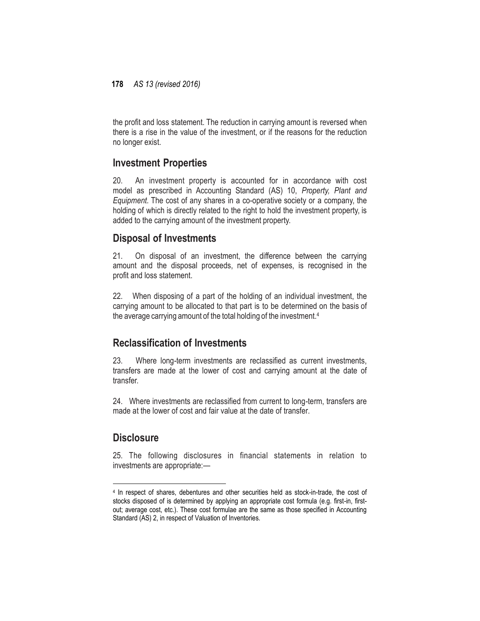#### **178** *AS 13 (revised 2016)*

the profit and loss statement. The reduction in carrying amount is reversed when there is a rise in the value of the investment, or if the reasons for the reduction no longer exist.

#### **Investment Properties**

20. An investment property is accounted for in accordance with cost model as prescribed in Accounting Standard (AS) 10, *Property, Plant and Equipment.* The cost of any shares in a co-operative society or a company, the holding of which is directly related to the right to hold the investment property, is added to the carrying amount of the investment property.

#### **Disposal of Investments**

21. On disposal of an investment, the difference between the carrying amount and the disposal proceeds, net of expenses, is recognised in the profit and loss statement.

22. When disposing of a part of the holding of an individual investment, the carrying amount to be allocated to that part is to be determined on the basis of the average carrying amount of the total holding of the investment. 4

# **Reclassification of Investments**

23. Where long-term investments are reclassified as current investments, transfers are made at the lower of cost and carrying amount at the date of transfer.

24. Where investments are reclassified from current to long-term, transfers are made at the lower of cost and fair value at the date of transfer.

# **Disclosure**

 $\overline{\phantom{a}}$ 

25. The following disclosures in financial statements in relation to investments are appropriate:—

<sup>4</sup> In respect of shares, debentures and other securities held as stock-in-trade, the cost of stocks disposed of is determined by applying an appropriate cost formula (e.g. first-in, firstout; average cost, etc.). These cost formulae are the same as those specified in Accounting Standard (AS) 2, in respect of Valuation of Inventories.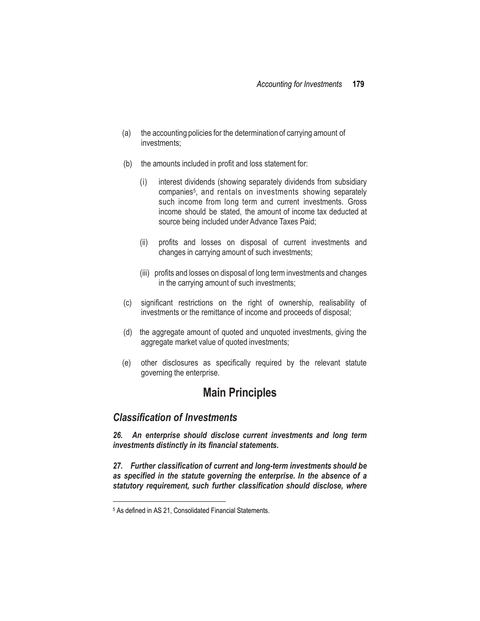- (a) the accounting policies for the determination of carrying amount of investments;
- (b) the amounts included in profit and loss statement for:
	- (i) interest dividends (showing separately dividends from subsidiary companies<sup>5</sup>, and rentals on investments showing separately such income from long term and current investments. Gross income should be stated, the amount of income tax deducted at source being included under Advance Taxes Paid;
	- (ii) profits and losses on disposal of current investments and changes in carrying amount of such investments;
	- (iii) profits and losses on disposal of long term investments and changes in the carrying amount of such investments;
- (c) significant restrictions on the right of ownership, realisability of investments or the remittance of income and proceeds of disposal;
- (d) the aggregate amount of quoted and unquoted investments, giving the aggregate market value of quoted investments;
- (e) other disclosures as specifically required by the relevant statute governing the enterprise.

# **Main Principles**

#### *Classification of Investments*

 $\overline{\phantom{a}}$ 

*26. An enterprise should disclose current investments and long term investments distinctly in its financial statements.*

*27. Further classification of current and long-term investments should be as specified in the statute governing the enterprise. In the absence of a statutory requirement, such further classification should disclose, where* 

<sup>5</sup> As defined in AS 21, Consolidated Financial Statements.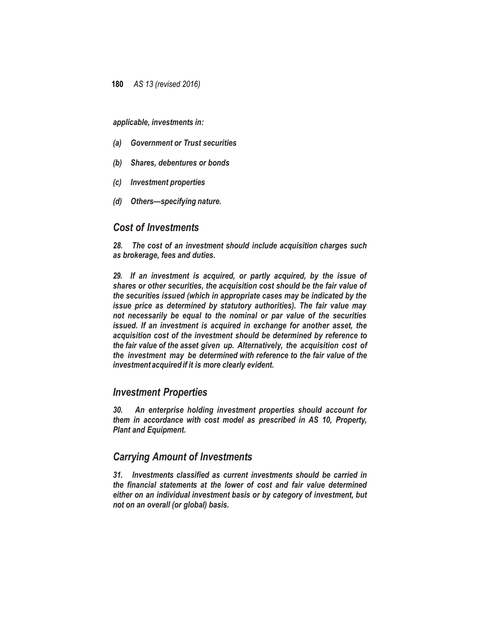**180** *AS 13 (revised 2016)*

*applicable, investments in:*

- *(a) Government or Trust securities*
- *(b) Shares, debentures or bonds*
- *(c) Investment properties*
- *(d) Others—specifying nature.*

#### *Cost of Investments*

*28. The cost of an investment should include acquisition charges such as brokerage, fees and duties.*

*29. If an investment is acquired, or partly acquired, by the issue of shares or other securities, the acquisition cost should be the fair value of the securities issued (which in appropriate cases may be indicated by the issue price as determined by statutory authorities). The fair value may not necessarily be equal to the nominal or par value of the securities issued. If an investment is acquired in exchange for another asset, the acquisition cost of the investment should be determined by reference to the fair value of the asset given up. Alternatively, the acquisition cost of the investment may be determined with reference to the fair value of the investment acquired if it is more clearly evident.*

#### *Investment Properties*

*30. An enterprise holding investment properties should account for them in accordance with cost model as prescribed in AS 10, Property, Plant and Equipment.*

#### *Carrying Amount of Investments*

*31. Investments classified as current investments should be carried in the financial statements at the lower of cost and fair value determined either on an individual investment basis or by category of investment, but not on an overall (or global) basis.*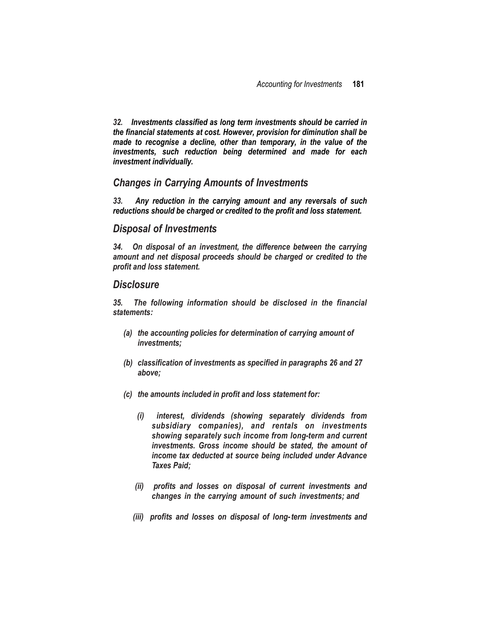*32. Investments classified as long term investments should be carried in the financial statements at cost. However, provision for diminution shall be made to recognise a decline, other than temporary, in the value of the investments, such reduction being determined and made for each investment individually.*

#### *Changes in Carrying Amounts of Investments*

*33. Any reduction in the carrying amount and any reversals of such reductions should be charged or credited to the profit and loss statement.*

#### *Disposal of Investments*

*34. On disposal of an investment, the difference between the carrying amount and net disposal proceeds should be charged or credited to the profit and loss statement.*

#### *Disclosure*

*35. The following information should be disclosed in the financial statements:*

- *(a) the accounting policies for determination of carrying amount of investments;*
- *(b) classification of investments as specified in paragraphs 26 and 27 above;*
- *(c) the amounts included in profit and loss statement for:*
	- *(i) interest, dividends (showing separately dividends from subsidiary companies), and rentals on investments showing separately such income from long-term and current investments. Gross income should be stated, the amount of income tax deducted at source being included under Advance Taxes Paid;*
	- *(ii) profits and losses on disposal of current investments and changes in the carrying amount of such investments; and*
	- *(iii) profits and losses on disposal of long-term investments and*